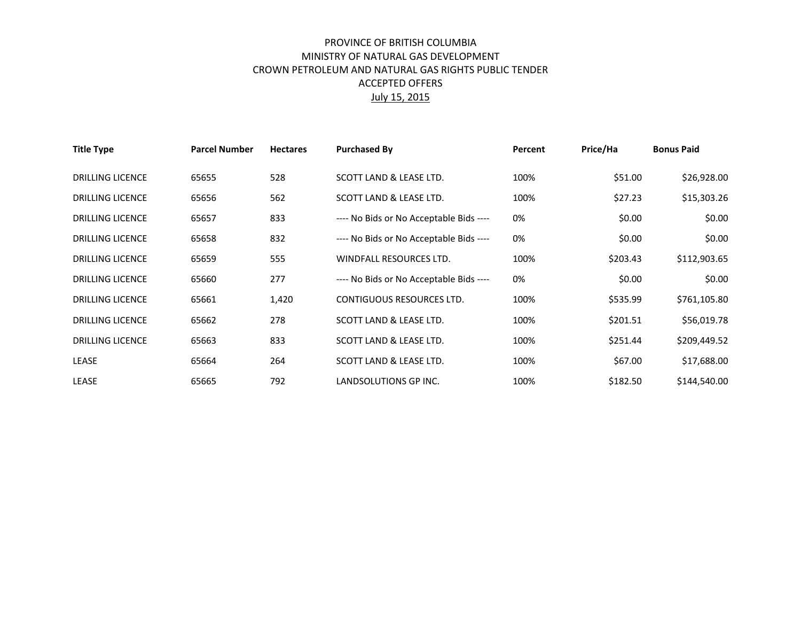## PROVINCE OF BRITISH COLUMBIA MINISTRY OF NATURAL GAS DEVELOPMENT CROWN PETROLEUM AND NATURAL GAS RIGHTS PUBLIC TENDER ACCEPTED OFFERS July 15, 2015

| <b>Title Type</b>       | <b>Parcel Number</b> | <b>Hectares</b> | <b>Purchased By</b>                     | Percent | Price/Ha | <b>Bonus Paid</b> |
|-------------------------|----------------------|-----------------|-----------------------------------------|---------|----------|-------------------|
| <b>DRILLING LICENCE</b> | 65655                | 528             | SCOTT LAND & LEASE LTD.                 | 100%    | \$51.00  | \$26,928.00       |
| <b>DRILLING LICENCE</b> | 65656                | 562             | SCOTT LAND & LEASE LTD.                 | 100%    | \$27.23  | \$15,303.26       |
| <b>DRILLING LICENCE</b> | 65657                | 833             | ---- No Bids or No Acceptable Bids ---- | 0%      | \$0.00   | \$0.00            |
| <b>DRILLING LICENCE</b> | 65658                | 832             | ---- No Bids or No Acceptable Bids ---- | 0%      | \$0.00   | \$0.00            |
| <b>DRILLING LICENCE</b> | 65659                | 555             | WINDFALL RESOURCES LTD.                 | 100%    | \$203.43 | \$112,903.65      |
| <b>DRILLING LICENCE</b> | 65660                | 277             | ---- No Bids or No Acceptable Bids ---- | 0%      | \$0.00   | \$0.00            |
| <b>DRILLING LICENCE</b> | 65661                | 1,420           | <b>CONTIGUOUS RESOURCES LTD.</b>        | 100%    | \$535.99 | \$761,105.80      |
| <b>DRILLING LICENCE</b> | 65662                | 278             | SCOTT LAND & LEASE LTD.                 | 100%    | \$201.51 | \$56,019.78       |
| <b>DRILLING LICENCE</b> | 65663                | 833             | SCOTT LAND & LEASE LTD.                 | 100%    | \$251.44 | \$209,449.52      |
| <b>LEASE</b>            | 65664                | 264             | SCOTT LAND & LEASE LTD.                 | 100%    | \$67.00  | \$17,688.00       |
| LEASE                   | 65665                | 792             | LANDSOLUTIONS GP INC.                   | 100%    | \$182.50 | \$144,540.00      |